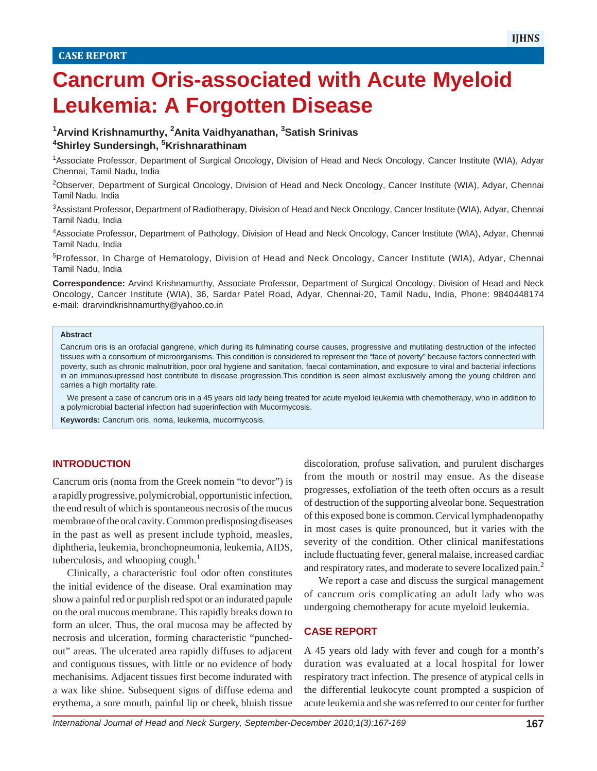# **Cancrum Oris-associated with Acute Myeloid Leukemia: A Forgotten Disease**

# **1 Arvind Krishnamurthy, 2 Anita Vaidhyanathan, 3 Satish Srinivas 4 Shirley Sundersingh, 5 Krishnarathinam**

1Associate Professor, Department of Surgical Oncology, Division of Head and Neck Oncology, Cancer Institute (WIA), Adyar Chennai, Tamil Nadu, India

2Observer, Department of Surgical Oncology, Division of Head and Neck Oncology, Cancer Institute (WIA), Adyar, Chennai Tamil Nadu, India

3 Assistant Professor, Department of Radiotherapy, Division of Head and Neck Oncology, Cancer Institute (WIA), Adyar, Chennai Tamil Nadu, India

4 Associate Professor, Department of Pathology, Division of Head and Neck Oncology, Cancer Institute (WIA), Adyar, Chennai Tamil Nadu, India

5Professor, In Charge of Hematology, Division of Head and Neck Oncology, Cancer Institute (WIA), Adyar, Chennai Tamil Nadu, India

**Correspondence:** Arvind Krishnamurthy, Associate Professor, Department of Surgical Oncology, Division of Head and Neck Oncology, Cancer Institute (WIA), 36, Sardar Patel Road, Adyar, Chennai-20, Tamil Nadu, India, Phone: 9840448174 e-mail: drarvindkrishnamurthy@yahoo.co.in

#### **Abstract**

Cancrum oris is an orofacial gangrene, which during its fulminating course causes, progressive and mutilating destruction of the infected tissues with a consortium of microorganisms. This condition is considered to represent the "face of poverty" because factors connected with poverty, such as chronic malnutrition, poor oral hygiene and sanitation, faecal contamination, and exposure to viral and bacterial infections in an immunosupressed host contribute to disease progression.This condition is seen almost exclusively among the young children and carries a high mortality rate.

We present a case of cancrum oris in a 45 years old lady being treated for acute myeloid leukemia with chemotherapy, who in addition to a polymicrobial bacterial infection had superinfection with Mucormycosis.

**Keywords:** Cancrum oris, noma, leukemia, mucormycosis.

### **INTRODUCTION**

Cancrum oris (noma from the Greek nomein "to devor") is a rapidly progressive, polymicrobial, opportunistic infection, the end result of which is spontaneous necrosis of the mucus membrane of the oral cavity. Common predisposing diseases in the past as well as present include typhoid, measles, diphtheria, leukemia, bronchopneumonia, leukemia, AIDS, tuberculosis, and whooping cough. $<sup>1</sup>$ </sup>

Clinically, a characteristic foul odor often constitutes the initial evidence of the disease. Oral examination may show a painful red or purplish red spot or an indurated papule on the oral mucous membrane. This rapidly breaks down to form an ulcer. Thus, the oral mucosa may be affected by necrosis and ulceration, forming characteristic "punchedout" areas. The ulcerated area rapidly diffuses to adjacent and contiguous tissues, with little or no evidence of body mechanisims. Adjacent tissues first become indurated with a wax like shine. Subsequent signs of diffuse edema and erythema, a sore mouth, painful lip or cheek, bluish tissue

discoloration, profuse salivation, and purulent discharges from the mouth or nostril may ensue. As the disease progresses, exfoliation of the teeth often occurs as a result of destruction of the supporting alveolar bone. Sequestration of this exposed bone is common.Cervical lymphadenopathy in most cases is quite pronounced, but it varies with the severity of the condition. Other clinical manifestations include fluctuating fever, general malaise, increased cardiac and respiratory rates, and moderate to severe localized pain.<sup>2</sup>

We report a case and discuss the surgical management of cancrum oris complicating an adult lady who was undergoing chemotherapy for acute myeloid leukemia.

### **CASE REPORT**

A 45 years old lady with fever and cough for a month's duration was evaluated at a local hospital for lower respiratory tract infection. The presence of atypical cells in the differential leukocyte count prompted a suspicion of acute leukemia and she was referred to our center for further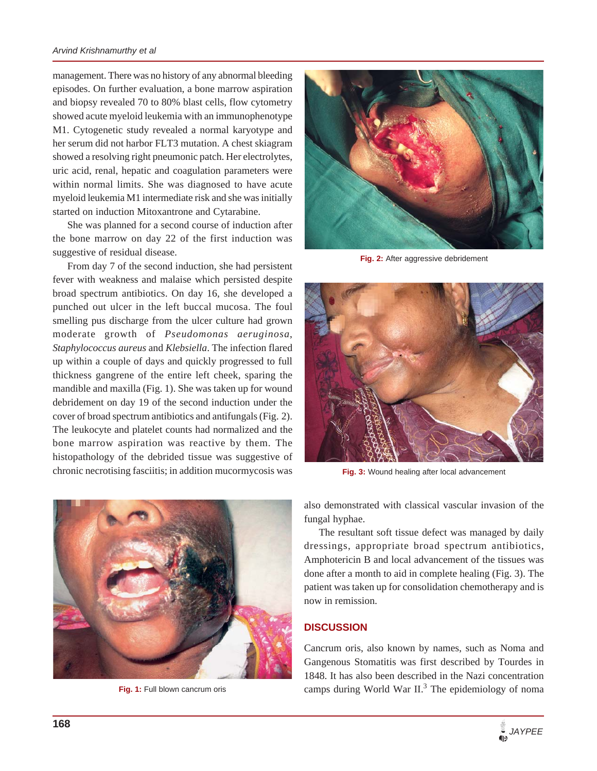#### *Arvind Krishnamurthy et al*

management. There was no history of any abnormal bleeding episodes. On further evaluation, a bone marrow aspiration and biopsy revealed 70 to 80% blast cells, flow cytometry showed acute myeloid leukemia with an immunophenotype M1. Cytogenetic study revealed a normal karyotype and her serum did not harbor FLT3 mutation. A chest skiagram showed a resolving right pneumonic patch. Her electrolytes, uric acid, renal, hepatic and coagulation parameters were within normal limits. She was diagnosed to have acute myeloid leukemia M1 intermediate risk and she was initially started on induction Mitoxantrone and Cytarabine.

She was planned for a second course of induction after the bone marrow on day 22 of the first induction was suggestive of residual disease.

From day 7 of the second induction, she had persistent fever with weakness and malaise which persisted despite broad spectrum antibiotics. On day 16, she developed a punched out ulcer in the left buccal mucosa. The foul smelling pus discharge from the ulcer culture had grown moderate growth of *Pseudomonas aeruginosa*, *Staphylococcus aureus* and *Klebsiella*. The infection flared up within a couple of days and quickly progressed to full thickness gangrene of the entire left cheek, sparing the mandible and maxilla (Fig. 1). She was taken up for wound debridement on day 19 of the second induction under the cover of broad spectrum antibiotics and antifungals (Fig. 2). The leukocyte and platelet counts had normalized and the bone marrow aspiration was reactive by them. The histopathology of the debrided tissue was suggestive of chronic necrotising fasciitis; in addition mucormycosis was



**Fig. 2:** After aggressive debridement



**Fig. 3:** Wound healing after local advancement



also demonstrated with classical vascular invasion of the fungal hyphae.

The resultant soft tissue defect was managed by daily dressings, appropriate broad spectrum antibiotics, Amphotericin B and local advancement of the tissues was done after a month to aid in complete healing (Fig. 3). The patient was taken up for consolidation chemotherapy and is now in remission.

## **DISCUSSION**

Cancrum oris, also known by names, such as Noma and Gangenous Stomatitis was first described by Tourdes in 1848. It has also been described in the Nazi concentration **Fig. 1:** Full blown cancrum oris camps during World War II.<sup>3</sup> The epidemiology of noma